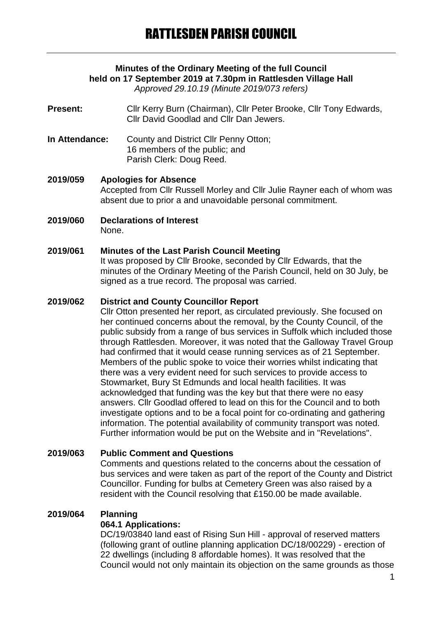# **Minutes of the Ordinary Meeting of the full Council held on 17 September 2019 at 7.30pm in Rattlesden Village Hall**

*Approved 29.10.19 (Minute 2019/073 refers)*

**Present:** Cllr Kerry Burn (Chairman), Cllr Peter Brooke, Cllr Tony Edwards, Cllr David Goodlad and Cllr Dan Jewers.

**In Attendance:** County and District Cllr Penny Otton; 16 members of the public; and Parish Clerk: Doug Reed.

**2019/059 Apologies for Absence** Accepted from Cllr Russell Morley and Cllr Julie Rayner each of whom was absent due to prior a and unavoidable personal commitment.

**2019/060 Declarations of Interest** None.

## **2019/061 Minutes of the Last Parish Council Meeting**

It was proposed by Cllr Brooke, seconded by Cllr Edwards, that the minutes of the Ordinary Meeting of the Parish Council, held on 30 July, be signed as a true record. The proposal was carried.

#### **2019/062 District and County Councillor Report**

Cllr Otton presented her report, as circulated previously. She focused on her continued concerns about the removal, by the County Council, of the public subsidy from a range of bus services in Suffolk which included those through Rattlesden. Moreover, it was noted that the Galloway Travel Group had confirmed that it would cease running services as of 21 September. Members of the public spoke to voice their worries whilst indicating that there was a very evident need for such services to provide access to Stowmarket, Bury St Edmunds and local health facilities. It was acknowledged that funding was the key but that there were no easy answers. Cllr Goodlad offered to lead on this for the Council and to both investigate options and to be a focal point for co-ordinating and gathering information. The potential availability of community transport was noted. Further information would be put on the Website and in "Revelations".

## **2019/063 Public Comment and Questions**

Comments and questions related to the concerns about the cessation of bus services and were taken as part of the report of the County and District Councillor. Funding for bulbs at Cemetery Green was also raised by a resident with the Council resolving that £150.00 be made available.

## **2019/064 Planning**

## **064.1 Applications:**

DC/19/03840 land east of Rising Sun Hill - approval of reserved matters (following grant of outline planning application DC/18/00229) - erection of 22 dwellings (including 8 affordable homes). It was resolved that the Council would not only maintain its objection on the same grounds as those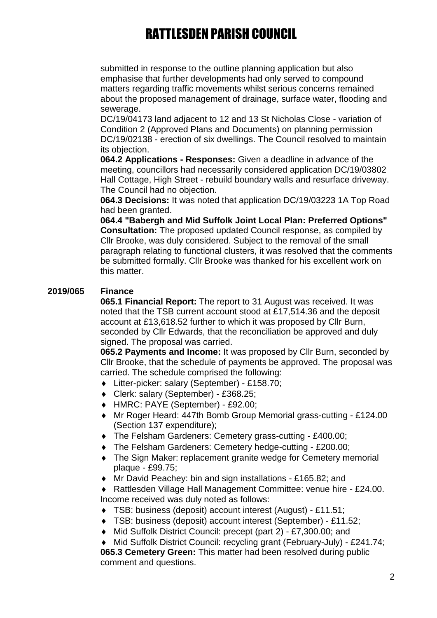submitted in response to the outline planning application but also emphasise that further developments had only served to compound matters regarding traffic movements whilst serious concerns remained about the proposed management of drainage, surface water, flooding and sewerage.

DC/19/04173 land adjacent to 12 and 13 St Nicholas Close - variation of Condition 2 (Approved Plans and Documents) on planning permission DC/19/02138 - erection of six dwellings. The Council resolved to maintain its objection.

**064.2 Applications - Responses:** Given a deadline in advance of the meeting, councillors had necessarily considered application DC/19/03802 Hall Cottage, High Street - rebuild boundary walls and resurface driveway. The Council had no objection.

**064.3 Decisions:** It was noted that application DC/19/03223 1A Top Road had been granted.

**064.4 "Babergh and Mid Suffolk Joint Local Plan: Preferred Options" Consultation:** The proposed updated Council response, as compiled by Cllr Brooke, was duly considered. Subject to the removal of the small paragraph relating to functional clusters, it was resolved that the comments be submitted formally. Cllr Brooke was thanked for his excellent work on this matter.

## **2019/065 Finance**

**065.1 Financial Report:** The report to 31 August was received. It was noted that the TSB current account stood at £17,514.36 and the deposit account at £13,618.52 further to which it was proposed by Cllr Burn, seconded by Cllr Edwards, that the reconciliation be approved and duly signed. The proposal was carried.

**065.2 Payments and Income:** It was proposed by Cllr Burn, seconded by Cllr Brooke, that the schedule of payments be approved. The proposal was carried. The schedule comprised the following:

- Litter-picker: salary (September) £158.70;
- Clerk: salary (September) £368.25;
- HMRC: PAYE (September) £92.00;
- Mr Roger Heard: 447th Bomb Group Memorial grass-cutting £124.00 (Section 137 expenditure);
- The Felsham Gardeners: Cemetery grass-cutting £400.00;
- The Felsham Gardeners: Cemetery hedge-cutting £200.00;
- The Sign Maker: replacement granite wedge for Cemetery memorial plaque - £99.75;
- Mr David Peachey: bin and sign installations £165.82; and

 Rattlesden Village Hall Management Committee: venue hire - £24.00. Income received was duly noted as follows:

- TSB: business (deposit) account interest (August) £11.51;
- TSB: business (deposit) account interest (September) £11.52;
- Mid Suffolk District Council: precept (part 2) £7,300.00; and

 Mid Suffolk District Council: recycling grant (February-July) - £241.74; **065.3 Cemetery Green:** This matter had been resolved during public comment and questions.